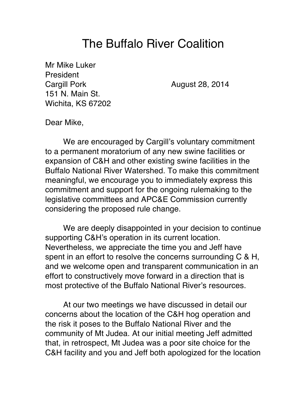## The Buffalo River Coalition

Mr Mike Luker President Cargill Pork **August 28, 2014** 151 N. Main St. Wichita, KS 67202

Dear Mike,

We are encouraged by Cargill's voluntary commitment to a permanent moratorium of any new swine facilities or expansion of C&H and other existing swine facilities in the Buffalo National River Watershed. To make this commitment meaningful, we encourage you to immediately express this commitment and support for the ongoing rulemaking to the legislative committees and APC&E Commission currently considering the proposed rule change.

We are deeply disappointed in your decision to continue supporting C&H's operation in its current location. Nevertheless, we appreciate the time you and Jeff have spent in an effort to resolve the concerns surrounding C & H, and we welcome open and transparent communication in an effort to constructively move forward in a direction that is most protective of the Buffalo National River's resources.

At our two meetings we have discussed in detail our concerns about the location of the C&H hog operation and the risk it poses to the Buffalo National River and the community of Mt Judea. At our initial meeting Jeff admitted that, in retrospect, Mt Judea was a poor site choice for the C&H facility and you and Jeff both apologized for the location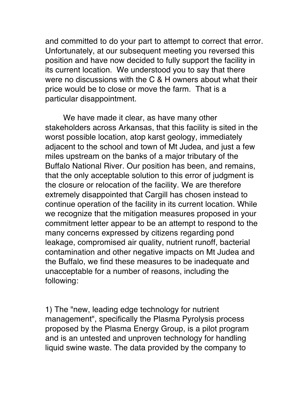and committed to do your part to attempt to correct that error. Unfortunately, at our subsequent meeting you reversed this position and have now decided to fully support the facility in its current location. We understood you to say that there were no discussions with the C & H owners about what their price would be to close or move the farm. That is a particular disappointment.

We have made it clear, as have many other stakeholders across Arkansas, that this facility is sited in the worst possible location, atop karst geology, immediately adjacent to the school and town of Mt Judea, and just a few miles upstream on the banks of a major tributary of the Buffalo National River. Our position has been, and remains, that the only acceptable solution to this error of judgment is the closure or relocation of the facility. We are therefore extremely disappointed that Cargill has chosen instead to continue operation of the facility in its current location. While we recognize that the mitigation measures proposed in your commitment letter appear to be an attempt to respond to the many concerns expressed by citizens regarding pond leakage, compromised air quality, nutrient runoff, bacterial contamination and other negative impacts on Mt Judea and the Buffalo, we find these measures to be inadequate and unacceptable for a number of reasons, including the following:

1) The "new, leading edge technology for nutrient management", specifically the Plasma Pyrolysis process proposed by the Plasma Energy Group, is a pilot program and is an untested and unproven technology for handling liquid swine waste. The data provided by the company to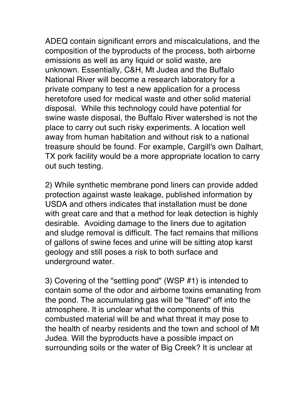ADEQ contain significant errors and miscalculations, and the composition of the byproducts of the process, both airborne emissions as well as any liquid or solid waste, are unknown. Essentially, C&H, Mt Judea and the Buffalo National River will become a research laboratory for a private company to test a new application for a process heretofore used for medical waste and other solid material disposal. While this technology could have potential for swine waste disposal, the Buffalo River watershed is not the place to carry out such risky experiments. A location well away from human habitation and without risk to a national treasure should be found. For example, Cargill's own Dalhart, TX pork facility would be a more appropriate location to carry out such testing.

2) While synthetic membrane pond liners can provide added protection against waste leakage, published information by USDA and others indicates that installation must be done with great care and that a method for leak detection is highly desirable. Avoiding damage to the liners due to agitation and sludge removal is difficult. The fact remains that millions of gallons of swine feces and urine will be sitting atop karst geology and still poses a risk to both surface and underground water.

3) Covering of the "settling pond" (WSP #1) is intended to contain some of the odor and airborne toxins emanating from the pond. The accumulating gas will be "flared" off into the atmosphere. It is unclear what the components of this combusted material will be and what threat it may pose to the health of nearby residents and the town and school of Mt Judea. Will the byproducts have a possible impact on surrounding soils or the water of Big Creek? It is unclear at